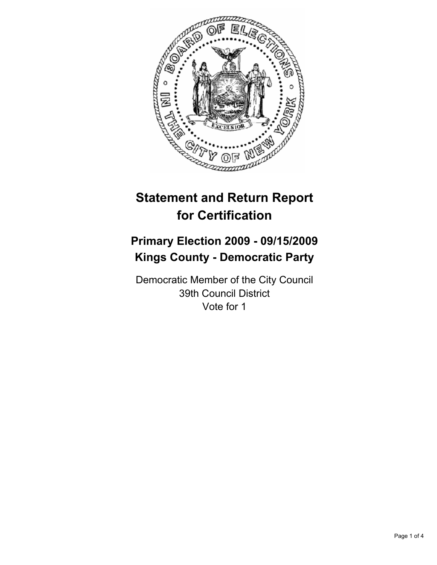

# **Statement and Return Report for Certification**

## **Primary Election 2009 - 09/15/2009 Kings County - Democratic Party**

Democratic Member of the City Council 39th Council District Vote for 1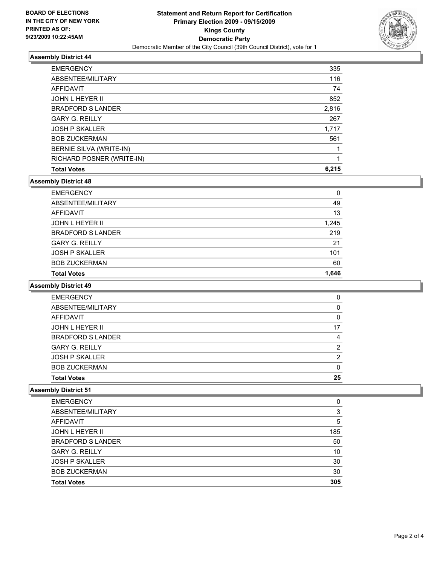

#### **Assembly District 44**

| <b>EMERGENCY</b>          | 335   |
|---------------------------|-------|
| ABSENTEE/MILITARY         | 116   |
| AFFIDAVIT                 | 74    |
| <b>JOHN L HEYER II</b>    | 852   |
| <b>BRADFORD S LANDER</b>  | 2,816 |
| <b>GARY G. REILLY</b>     | 267   |
| <b>JOSH P SKALLER</b>     | 1,717 |
| <b>BOB ZUCKERMAN</b>      | 561   |
| BERNIE SILVA (WRITE-IN)   |       |
| RICHARD POSNER (WRITE-IN) |       |
| <b>Total Votes</b>        | 6.215 |

## **Assembly District 48**

| <b>EMERGENCY</b>         | 0     |
|--------------------------|-------|
| ABSENTEE/MILITARY        | 49    |
| AFFIDAVIT                | 13    |
| JOHN L HEYER II          | 1,245 |
| <b>BRADFORD S LANDER</b> | 219   |
| <b>GARY G. REILLY</b>    | 21    |
| <b>JOSH P SKALLER</b>    | 101   |
| <b>BOB ZUCKERMAN</b>     | 60    |
| <b>Total Votes</b>       | 1.646 |

#### **Assembly District 49**

| <b>EMERGENCY</b>         | 0  |
|--------------------------|----|
| ABSENTEE/MILITARY        | 0  |
| AFFIDAVIT                | 0  |
| <b>JOHN L HEYER II</b>   | 17 |
| <b>BRADFORD S LANDER</b> | 4  |
| <b>GARY G. REILLY</b>    | 2  |
| <b>JOSH P SKALLER</b>    | 2  |
| <b>BOB ZUCKERMAN</b>     | 0  |
| <b>Total Votes</b>       | 25 |

#### **Assembly District 51**

| <b>Total Votes</b>       | 305 |
|--------------------------|-----|
| <b>BOB ZUCKERMAN</b>     | 30  |
| <b>JOSH P SKALLER</b>    | 30  |
| <b>GARY G. REILLY</b>    | 10  |
| <b>BRADFORD S LANDER</b> | 50  |
| <b>JOHN L HEYER II</b>   | 185 |
| <b>AFFIDAVIT</b>         | 5   |
| ABSENTEE/MILITARY        | 3   |
| <b>EMERGENCY</b>         | 0   |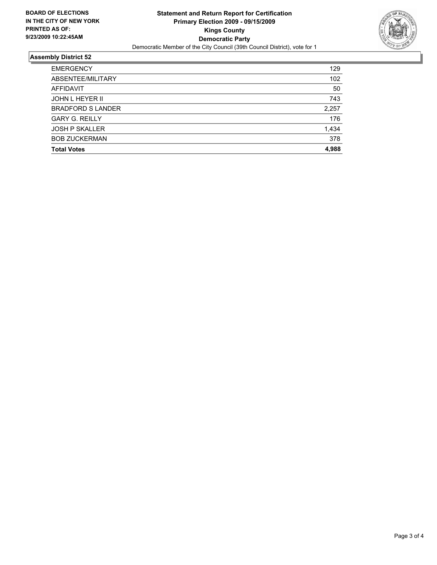

### **Assembly District 52**

| <b>EMERGENCY</b>         | 129   |
|--------------------------|-------|
| ABSENTEE/MILITARY        | 102   |
| <b>AFFIDAVIT</b>         | 50    |
| JOHN L HEYER II          | 743   |
| <b>BRADFORD S LANDER</b> | 2,257 |
| <b>GARY G. REILLY</b>    | 176   |
| <b>JOSH P SKALLER</b>    | 1,434 |
| <b>BOB ZUCKERMAN</b>     | 378   |
| <b>Total Votes</b>       | 4.988 |
|                          |       |